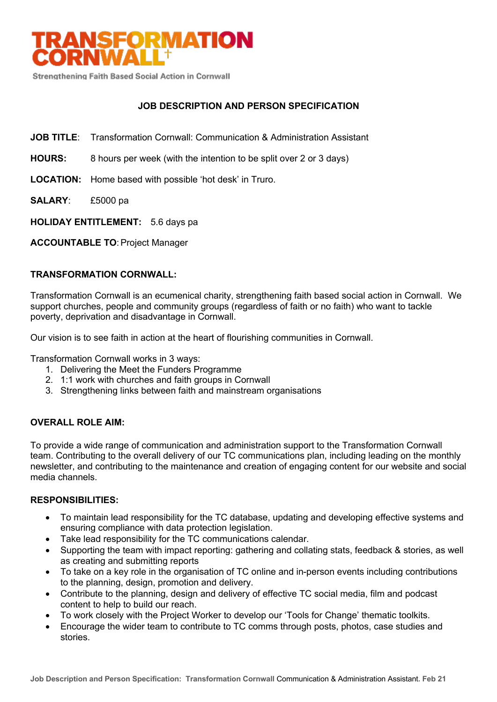

Strengthening Faith Based Social Action in Cornwall

# **JOB DESCRIPTION AND PERSON SPECIFICATION**

- **JOB TITLE**: Transformation Cornwall: Communication & Administration Assistant
- **HOURS:** 8 hours per week (with the intention to be split over 2 or 3 days)
- **LOCATION:** Home based with possible 'hot desk' in Truro.
- **SALARY**: £5000 pa
- **HOLIDAY ENTITLEMENT:** 5.6 days pa

**ACCOUNTABLE TO**:Project Manager

# **TRANSFORMATION CORNWALL:**

Transformation Cornwall is an ecumenical charity, strengthening faith based social action in Cornwall. We support churches, people and community groups (regardless of faith or no faith) who want to tackle poverty, deprivation and disadvantage in Cornwall.

Our vision is to see faith in action at the heart of flourishing communities in Cornwall.

Transformation Cornwall works in 3 ways:

- 1. Delivering the Meet the Funders Programme
- 2. 1:1 work with churches and faith groups in Cornwall
- 3. Strengthening links between faith and mainstream organisations

# **OVERALL ROLE AIM:**

To provide a wide range of communication and administration support to the Transformation Cornwall team. Contributing to the overall delivery of our TC communications plan, including leading on the monthly newsletter, and contributing to the maintenance and creation of engaging content for our website and social media channels.

## **RESPONSIBILITIES:**

- To maintain lead responsibility for the TC database, updating and developing effective systems and ensuring compliance with data protection legislation.
- Take lead responsibility for the TC communications calendar.
- Supporting the team with impact reporting: gathering and collating stats, feedback & stories, as well as creating and submitting reports
- To take on a key role in the organisation of TC online and in-person events including contributions to the planning, design, promotion and delivery.
- Contribute to the planning, design and delivery of effective TC social media, film and podcast content to help to build our reach.
- To work closely with the Project Worker to develop our 'Tools for Change' thematic toolkits.
- Encourage the wider team to contribute to TC comms through posts, photos, case studies and stories.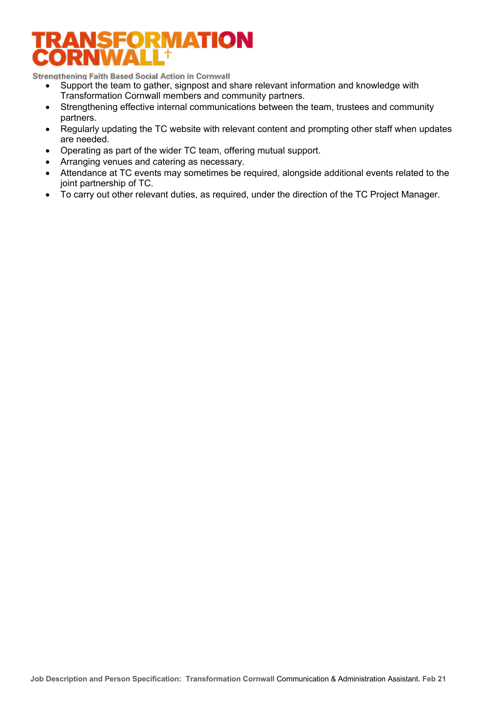# TRANSFORMATION ORNWA

Strengthening Faith Based Social Action in Cornwall

- Support the team to gather, signpost and share relevant information and knowledge with Transformation Cornwall members and community partners.
- Strengthening effective internal communications between the team, trustees and community partners.
- Regularly updating the TC website with relevant content and prompting other staff when updates are needed.
- Operating as part of the wider TC team, offering mutual support.
- Arranging venues and catering as necessary.
- Attendance at TC events may sometimes be required, alongside additional events related to the joint partnership of TC.
- To carry out other relevant duties, as required, under the direction of the TC Project Manager.